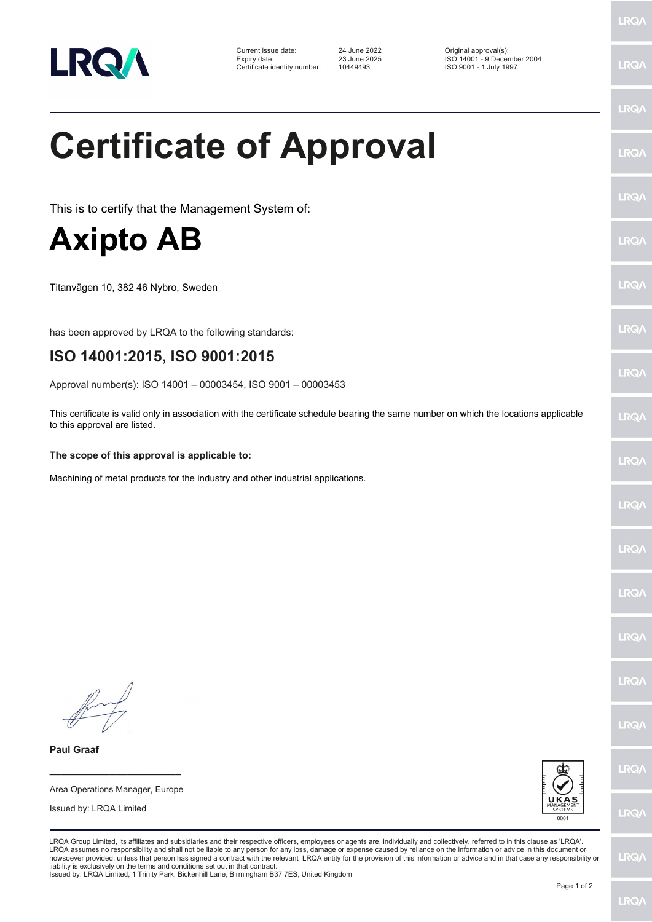

Certificate identity number: 10449493 ISO 9001 - 1 July 1997

Current issue date: 24 June 2022 Original approval(s): Expiry date: 23 June 2025 ISO 14001 - 9 December 2004

## **Certificate of Approval**

This is to certify that the Management System of:

## **Axipto AB**

Titanvägen 10, 382 46 Nybro, Sweden

has been approved by LRQA to the following standards:

## **ISO 14001:2015, ISO 9001:2015**

Approval number(s): ISO 14001 – 00003454, ISO 9001 – 00003453

This certificate is valid only in association with the certificate schedule bearing the same number on which the locations applicable to this approval are listed.

## **The scope of this approval is applicable to:**

Machining of metal products for the industry and other industrial applications.

Issued by: LRQA Limited

**\_\_\_\_\_\_\_\_\_\_\_\_\_\_\_\_\_\_\_\_\_\_\_\_** Area Operations Manager, Europe

**Paul Graaf**



LRQA Group Limited, its affiliates and subsidiaries and their respective officers, employees or agents are, individually and collectively, referred to in this clause as 'LRQA'. LRQA assumes no responsibility and shall not be liable to any person for any loss, damage or expense caused by reliance on the information or advice in this document or<br>howsoever provided, unless that person has signed a c liability is exclusively on the terms and conditions set out in that contract.

Issued by: LRQA Limited, 1 Trinity Park, Bickenhill Lane, Birmingham B37 7ES, United Kingdom

LRQ/

LRQ/

LRQ/

LRQ/

LRQ/

LRQ/

LRQ/

**LRQA** 

**LRO** 

LRQ/

LRQ/

LRQ/

LRQ/

LRQ/

**IRQA** 

LRQ/

LRQ/

LRQ/

LRQ/